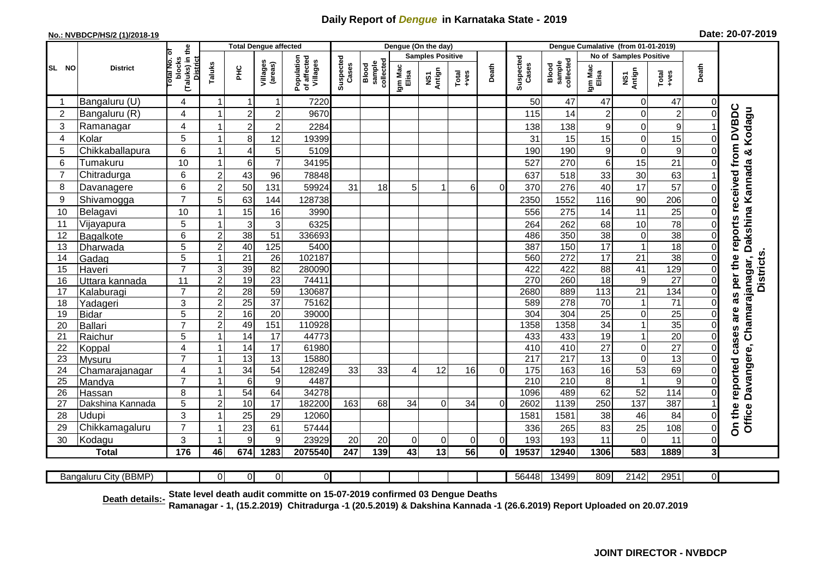## **Daily Report of** *Dengue* **in Karnataka State - 2019**

## **No.: NVBDCP/HS/2 (1)/2018-19**

|  |  | Date: 20-07-2019 |  |
|--|--|------------------|--|
|--|--|------------------|--|

|                 |                   | <b>Total Dengue affected</b>                                 |                                  |                 |                     |                                       |                    |                              | Dengue (On the day) |                         |                |          |                    |                              |                        |                               |                       |                            |                                                                                         |
|-----------------|-------------------|--------------------------------------------------------------|----------------------------------|-----------------|---------------------|---------------------------------------|--------------------|------------------------------|---------------------|-------------------------|----------------|----------|--------------------|------------------------------|------------------------|-------------------------------|-----------------------|----------------------------|-----------------------------------------------------------------------------------------|
|                 |                   |                                                              |                                  |                 |                     |                                       |                    |                              |                     | <b>Samples Positive</b> |                |          |                    |                              | No of Samples Positive |                               |                       |                            |                                                                                         |
| SL<br><b>NO</b> | <b>District</b>   | (Taluks) in the<br>Total No. of<br>blocks<br><b>District</b> | Taluks                           | <b>PHC</b>      | Villages<br>(areas) | Population<br>of affected<br>Villages | Suspected<br>Cases | collected<br>sample<br>Blood | Igm Mac<br>Elisa    | NS1<br>Antign           | $Total$        | Death    | Suspected<br>Cases | sample<br>collected<br>Blood | Igm Mac<br>Elisa       | NS1<br>Antign                 | Total<br>$-ves$       | Death                      |                                                                                         |
|                 | Bangaluru (U)     | 4                                                            | $\overline{\mathbf{1}}$          | -1              | $\mathbf{1}$        | 7220                                  |                    |                              |                     |                         |                |          | 50                 | 47                           | 47                     | $\mathbf 0$                   | 47                    | $\overline{0}$             |                                                                                         |
| $\overline{2}$  | Bangaluru (R)     | 4                                                            |                                  | $\overline{a}$  | $\overline{2}$      | 9670                                  |                    |                              |                     |                         |                |          | 115                | 14                           | $\overline{2}$         | $\mathbf 0$                   | $\overline{c}$        | $\Omega$                   |                                                                                         |
| 3               | Ramanagar         | 4                                                            |                                  | $\overline{c}$  | $\overline{2}$      | 2284                                  |                    |                              |                     |                         |                |          | 138                | 138                          | 9                      | 0                             | 9                     |                            | are as per the reports received from DVBDC<br>Chamarajanagar, Dakshina Kannada & Kodagu |
| 4               | Kolar             | 5                                                            |                                  | 8               | 12                  | 19399                                 |                    |                              |                     |                         |                |          | 31                 | 15                           | 15                     | $\mathbf 0$                   | 15                    | $\Omega$                   |                                                                                         |
| 5               | Chikkaballapura   | 6                                                            |                                  | 4               | 5                   | 5109                                  |                    |                              |                     |                         |                |          | 190                | 190                          | $\boldsymbol{9}$       | $\mathbf 0$                   | $\boldsymbol{9}$      | $\Omega$                   |                                                                                         |
| 6               | Tumakuru          | 10                                                           |                                  | 6               | $\overline{7}$      | 34195                                 |                    |                              |                     |                         |                |          | 527                | 270                          | 6                      | 15                            | 21                    | 01                         |                                                                                         |
| $\overline{7}$  | Chitradurga       | 6                                                            | $\overline{2}$                   | 43              | 96                  | 78848                                 |                    |                              |                     |                         |                |          | 637                | 518                          | 33                     | 30                            | 63                    |                            |                                                                                         |
| 8               | Davanagere        | 6                                                            | $\overline{2}$                   | 50              | 131                 | 59924                                 | 31                 | 18                           | 5                   | 1                       | 6 <sup>1</sup> | $\Omega$ | 370                | 276                          | 40                     | 17                            | 57                    | 0                          |                                                                                         |
| 9               | Shivamogga        | $\overline{7}$                                               | 5                                | 63              | 144                 | 128738                                |                    |                              |                     |                         |                |          | 2350               | 1552                         | 116                    | 90                            | 206                   | 0                          |                                                                                         |
| 10              | Belagavi          | 10                                                           |                                  | 15              | 16                  | 3990                                  |                    |                              |                     |                         |                |          | 556                | 275                          | 14                     | 11                            | 25                    | 0                          |                                                                                         |
| 11              | Vijayapura        | 5                                                            |                                  | 3               | 3                   | 6325                                  |                    |                              |                     |                         |                |          | 264                | 262                          | 68                     | 10                            | 78                    | ΟI                         |                                                                                         |
| 12              | Bagalkote         | 6                                                            | $\overline{c}$                   | 38              | 51                  | 336693                                |                    |                              |                     |                         |                |          | 486                | 350                          | 38                     | $\mathbf 0$                   | 38                    | $\overline{0}$             |                                                                                         |
| 13              | Dharwada          | 5                                                            | $\overline{2}$                   | 40              | 125                 | 5400                                  |                    |                              |                     |                         |                |          | 387                | 150                          | 17                     | $\overline{1}$                | 18                    | $\overline{0}$             |                                                                                         |
| 14              | Gadag             | $\overline{5}$                                               |                                  | $\overline{21}$ | $\overline{26}$     | 102187                                |                    |                              |                     |                         |                |          | 560                | 272                          | 17                     | $\overline{21}$               | 38                    | $\overline{0}$             | Districts.                                                                              |
| 15              | Haveri            | $\overline{7}$                                               | 3                                | 39              | 82                  | 280090                                |                    |                              |                     |                         |                |          | 422                | 422                          | $\overline{88}$        | 41                            | 129                   | $\overline{0}$             |                                                                                         |
| 16              | Uttara kannada    | 11                                                           | $\overline{2}$                   | 19              | $\overline{23}$     | 74411                                 |                    |                              |                     |                         |                |          | 270                | 260                          | $\overline{18}$        | $\boldsymbol{9}$              | $\overline{27}$       | $\overline{0}$             |                                                                                         |
| 17              | Kalaburagi        | $\overline{7}$                                               | $\overline{c}$                   | $\overline{28}$ | 59                  | 130687                                |                    |                              |                     |                         |                |          | 2680               | 889                          | 113                    | $\overline{21}$               | 134                   | $\overline{0}$             |                                                                                         |
| 18              | Yadageri          | 3                                                            | $\overline{c}$                   | $\overline{25}$ | $\overline{37}$     | 75162                                 |                    |                              |                     |                         |                |          | 589                | 278                          | $\overline{70}$        | -1                            | $\overline{71}$       | $\Omega$                   |                                                                                         |
| 19              | Bidar             | $\overline{5}$                                               | $\overline{2}$                   | $\overline{16}$ | $\overline{20}$     | 39000                                 |                    |                              |                     |                         |                |          | 304                | 304                          | $\overline{25}$        | $\mathbf 0$<br>$\overline{1}$ | $\overline{25}$       | $\Omega$                   |                                                                                         |
| 20              | Ballari           | $\overline{7}$<br>5                                          | $\overline{2}$<br>$\overline{1}$ | 49              | 151<br>17           | 110928<br>44773                       |                    |                              |                     |                         |                |          | 1358<br>433        | 1358<br>433                  | 34<br>19               | $\mathbf{1}$                  | 35<br>$\overline{20}$ | $\Omega$<br>$\overline{0}$ |                                                                                         |
| 21<br>22        | Raichur<br>Koppal | 4                                                            |                                  | 14<br>14        | 17                  | 61980                                 |                    |                              |                     |                         |                |          | 410                | 410                          | 27                     | $\mathbf 0$                   | $\overline{27}$       | $\Omega$                   | cases                                                                                   |
| 23              | Mysuru            | $\overline{7}$                                               | $\overline{1}$                   | 13              | $\overline{13}$     | 15880                                 |                    |                              |                     |                         |                |          | $\overline{217}$   | $\overline{217}$             | 13                     | $\mathbf 0$                   | 13                    | $\Omega$                   |                                                                                         |
| 24              | Chamarajanagar    | 4                                                            |                                  | 34              | 54                  | 128249                                | 33                 | 33                           | $\overline{4}$      | 12                      | 16             | $\Omega$ | 175                | 163                          | 16                     | 53                            | 69                    | $\Omega$                   |                                                                                         |
| 25              | Mandya            | $\overline{7}$                                               |                                  | 6               | $\boldsymbol{9}$    | 4487                                  |                    |                              |                     |                         |                |          | 210                | 210                          | $\overline{8}$         | $\overline{1}$                | 9                     | $\Omega$                   |                                                                                         |
| 26              | Hassan            | 8                                                            |                                  | 54              | 64                  | 34278                                 |                    |                              |                     |                         |                |          | 1096               | 489                          | 62                     | 52                            | 114                   | $\overline{0}$             | Davangere,                                                                              |
| 27              | Dakshina Kannada  | 5                                                            | $\overline{2}$                   | 10              | 17                  | 182200                                | 163                | 68                           | 34                  | $\Omega$                | 34             | $\Omega$ | 2602               | 1139                         | 250                    | 137                           | 387                   |                            |                                                                                         |
| 28              | Udupi             | 3                                                            |                                  | 25              | 29                  | 12060                                 |                    |                              |                     |                         |                |          | 1581               | 1581                         | 38                     | 46                            | 84                    | $\Omega$                   |                                                                                         |
| 29              | Chikkamagaluru    | $\overline{7}$                                               |                                  | 23              | 61                  | 57444                                 |                    |                              |                     |                         |                |          | 336                | 265                          | 83                     | 25                            | 108                   | $\Omega$                   | On the reported<br>Office                                                               |
| 30              | Kodagu            | 3                                                            |                                  | 9               | 9                   | 23929                                 | 20                 | 20                           | $\Omega$            | $\mathbf 0$             | $\overline{0}$ | 0        | 193                | 193                          | 11                     | $\mathbf 0$                   | 11                    | 0                          |                                                                                         |
|                 | <b>Total</b>      | 176                                                          | 46                               | 674             | 1283                | 2075540                               | 247                | 139                          | 43                  | 13                      | 56             | $\bf{0}$ | 19537              | 12940                        | 1306                   | 583                           | 1889                  | $\overline{\mathbf{3}}$    |                                                                                         |
|                 |                   |                                                              |                                  |                 |                     |                                       |                    |                              |                     |                         |                |          |                    |                              |                        |                               |                       |                            |                                                                                         |

| (BBMP)<br>--<br>70 D<br>aluru<br>'' itv<br>-Band. |  | 0 | ΩL |  |  |  | 56448 | 13400<br>. | 809 | 2142<br>╌ | วด⊾ | ΩI |  |
|---------------------------------------------------|--|---|----|--|--|--|-------|------------|-----|-----------|-----|----|--|

<u>Death details:-</u> State level death audit committe on 15-07-2019 confirmed 03 Dengue Deaths<br><u>Death details:-</u> Ramanagar - 1, (15.2.2019) Chitradurga -1 (20.5.2019) & Dakshina Kannada -1 (26.6.2019) Report Uploaded on 20.0